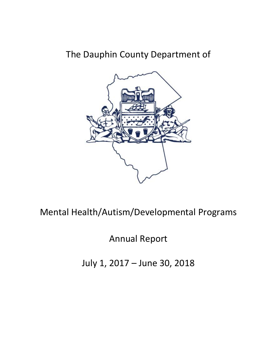# The Dauphin County Department of



Mental Health/Autism/Developmental Programs

Annual Report

July 1, 2017 – June 30, 2018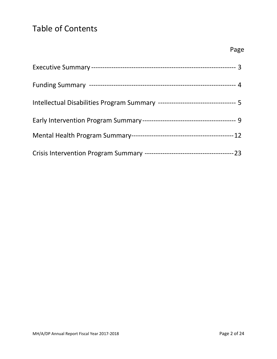# Table of Contents

| Intellectual Disabilities Program Summary ---------------------------------- 5 |  |
|--------------------------------------------------------------------------------|--|
|                                                                                |  |
|                                                                                |  |
|                                                                                |  |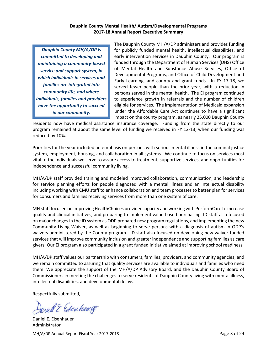#### **Dauphin County Mental Health/ Autism/Developmental Programs 2017-18 Annual Report Executive Summary**

*Dauphin County MH/A/DP is committed to developing and maintaining a community-based service and support system, in which individuals in services and families are integrated into community life, and where individuals, families and providers have the opportunity to succeed in our community.*

The Dauphin County MH/A/DP administers and provides funding for publicly funded mental health, intellectual disabilities, and early intervention services in Dauphin County. Our program is funded through the Department of Human Services (DHS) Office of Mental Health and Substance Abuse Services, Office of Developmental Programs, and Office of Child Development and Early Learning, and county and grant funds. In FY 17-18, we served fewer people than the prior year, with a reduction in persons served in the mental health. The EI program continued to experience growth in referrals and the number of children eligible for services. The implementation of Medicaid expansion under the Affordable Care Act continues to have a significant impact on the county program, as nearly 25,000 Dauphin County

residents now have medical assistance insurance coverage. Funding from the state directly to our program remained at about the same level of funding we received in FY 12-13, when our funding was reduced by 10%.

Priorities for the year included an emphasis on persons with serious mental illness in the criminal justice system, employment, housing, and collaboration in all systems. We continue to focus on services most vital to the individuals we serve to assure access to treatment, supportive services, and opportunities for independence and successful community living.

MH/A/DP staff provided training and modeled improved collaboration, communication, and leadership for service planning efforts for people diagnosed with a mental illness and an intellectual disability including working with CMU staff to enhance collaboration and team processes to better plan for services for consumers and families receiving services from more than one system of care.

MH staff focused on improving HealthChoices provider capacity and working with PerformCare to increase quality and clinical initiatives, and preparing to implement value-based purchasing. ID staff also focused on major changes in the ID system as ODP prepared new program regulations, and implementing the new Community Living Waiver, as well as beginning to serve persons with a diagnosis of autism in ODP's waivers administered by the County program. ID staff also focused on developing new waiver funded services that will improve community inclusion and greater independence and supporting families as care givers. Our EI program also participated in a grant funded initiative aimed at improving school readiness.

MH/A/DP staff values our partnership with consumers, families, providers, and community agencies, and we remain committed to assuring that quality services are available to individuals and families who need them. We appreciate the support of the MH/A/DP Advisory Board, and the Dauphin County Board of Commissioners in meeting the challenges to serve residents of Dauphin County living with mental illness, intellectual disabilities, and developmental delays.

Respectfully submitted,

will & Estenhang

MH/A/DP Annual Report Fiscal Year 2017-2018 **Page 3 of 24** Page 3 of 24 Daniel E. Eisenhauer Administrator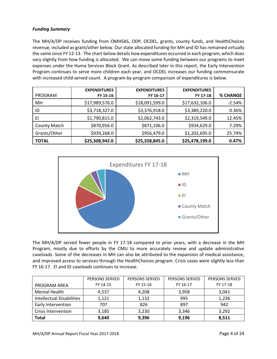#### *Funding Summary*

The MH/A/DP receives funding from OMHSAS, ODP, OCDEL, grants, county funds, and HealthChoices revenue, included as grant/other below. Our state allocated funding for MH and ID has remained virtually the same since FY 12-13. The chart below details how expenditures occurred in each program, which does vary slightly from how funding is allocated. We can move some funding between our programs to meet expenses under the Huma Services Block Grant. As described later in this report, the Early Intervention Program continues to serve more children each year, and OCDEL increases our funding commensurate with increased child served count. A program-by-program comparison of expenditures is below.

| PROGRAM             | <b>EXPENDITURES</b><br>FY 15-16 | <b>EXPENDITURES</b><br>FY 16-17 | <b>EXPENDITURES</b><br>FY 17-18 | <b>% CHANGE</b> |
|---------------------|---------------------------------|---------------------------------|---------------------------------|-----------------|
| MН                  | \$17,989,576.0                  | \$18,091,599.0                  | \$17,632,106.0                  | $-2.54%$        |
| ID                  | \$3,718,327.0                   | \$3,376,918.0                   | \$3,389,220.0                   | 0.36%           |
| EI                  | \$1,790,815.0                   | \$2,062,743.0                   | \$2,319,549.0                   | 12.45%          |
| <b>County Match</b> | \$870,956.0                     | \$871,106.0                     | \$934,629.0                     | 7.29%           |
| Grants/Other        | \$939,268.0                     | \$956,479.0                     | \$1,202,695.0                   | 25.74%          |
| <b>TOTAL</b>        | \$25,308,942.0                  | \$25,358,845.0                  | \$25,478,199.0                  | 0.47%           |



The MH/A/DP served fewer people in FY 17-18 compared to prior years, with a decrease in the MH Program, mostly due to efforts by the CMU to more accurately review and update administrative caseloads. Some of the decreases in MH can also be attributed to the expansion of medical assistance, and improved access to services through the HealthChoices program. Crisis cases were slightly less than FY 16-17. EI and ID caseloads continues to increase.

|                                  | <b>PERSONS SERVED</b> | <b>PERSONS SERVED</b> | <b>PERSONS SERVED</b> | <b>PERSONS SERVED</b> |
|----------------------------------|-----------------------|-----------------------|-----------------------|-----------------------|
| PROGRAM AREA                     | FY 14-15              | FY 15-16              | FY 16-17              | FY 17-18              |
| Mental Health                    | 4.537                 | 4,208                 | 3,958                 | 3,041                 |
| <b>Intellectual Disabilities</b> | 1,121                 | 1,132                 | 995                   | 1,236                 |
| Early Intervention               | 707                   | 826                   | 897                   | 942                   |
| Crisis Intervention              | 3,185                 | 3,230                 | 3,346                 | 3,292                 |
| <b>Total</b>                     | 9,640                 | 9,396                 | 9,196                 | 8,511                 |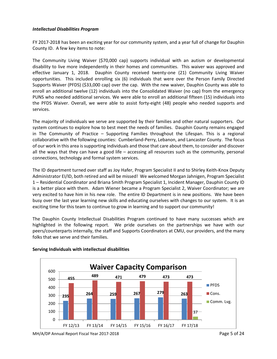#### *Intellectual Disabilities Program*

FY 2017-2018 has been an exciting year for our community system, and a year full of change for Dauphin County ID. A few key items to note:

The Community Living Waiver (\$70,000 cap) supports individual with an autism or developmental disability to live more independently in their homes and communities. This waiver was approved and effective January 1, 2018. Dauphin County received twenty-one (21) Community Living Waiver opportunities. This included enrolling six (6) individuals that were over the Person Family Directed Supports Waiver (PFDS) (\$33,000 cap) over the cap. With the new waiver, Dauphin County was able to enroll an additional twelve (12) individuals into the Consolidated Waiver (no cap) from the emergency PUNS who needed additional services. We were able to enroll an additional fifteen (15) individuals into the PFDS Waiver. Overall, we were able to assist forty-eight (48) people who needed supports and services.

The majority of individuals we serve are supported by their families and other natural supporters. Our system continues to explore how to best meet the needs of families. Dauphin County remains engaged in The Community of Practice – Supporting Families throughout the Lifespan. This is a regional collaborative with the following counties: Cumberland-Perry, Lebanon, and Lancaster County. The focus of our work in this area is supporting individuals and those that care about them, to consider and discover all the ways that they can have a good life – accessing all resources such as the community, personal connections, technology and formal system services.

The ID department turned over staff as Joy Hafer, Program Specialist II and to Shirley Keith-Knox Deputy Administrator EI/ID, both retired and will be missed! We welcomed Morgan Jahnigen, Program Specialist 1 – Residential Coordinator and Briana Smith Program Specialist 1, Incident Manager, Dauphin County ID is a better place with them. Adam Wiener became a Program Specialist 2, Waiver Coordinator; we are very excited to have him in his new role. The entire ID Department is in new positions. We have been busy over the last year learning new skills and educating ourselves with changes to our system. It is an exciting time for this team to continue to grow in learning and to support our community!

The Dauphin County Intellectual Disabilities Program continued to have many successes which are highlighted in the following report. We pride ourselves on the partnerships we have with our peers/counterparts internally, the staff and Supports Coordinators at CMU, our providers, and the many folks that we serve and their families.



### **Serving Individuals with intellectual disabilities**

MH/A/DP Annual Report Fiscal Year 2017-2018 **Page 5 of 24** Page 5 of 24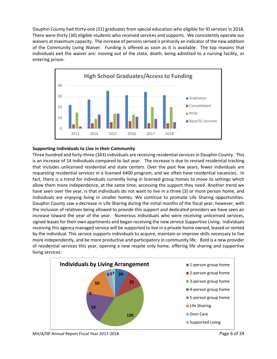Dauphin County had thirty-one (31) graduates from special education who eligible for ID services in 2018. There were thirty (30) eligible students who received services and supports. We consistently operate our waivers at maximum capacity. The increase of persons served is primarily an indicator of the new addition of the Community Living Waiver. Funding is offered as soon as it is available. The top reasons that individuals exit the waiver are: moving out of the state, death, being admitted to a nursing facility, or entering prison.



#### **Supporting Individuals to Live in their Community**

Three hundred and forty-three (343) individuals are receiving residential services in Dauphin County. This is an increase of 14 individuals compared to last year. The increase is due to revised residential tracking that includes unlicensed residential and state centers. Over the past few years, fewer individuals are requesting residential services in a licensed 6400 program, and we often have residential vacancies. In fact, there is a trend for individuals currently living in licensed group homes to move to settings which allow them more independence, at the same time, accessing the support they need. Another trend we have seen over the year, is that individuals do not want to live in a three (3) or more person home, and individuals are enjoying living in smaller homes. We continue to promote Life Sharing opportunities. Dauphin County saw a decrease in Life Sharing during the initial months of the fiscal year, however, with the inclusion of relatives being allowed to provide this support and dedicated providers we have seen an increase toward the year of the year. Numerous individuals who were receiving unlicensed services, signed leases for their own apartments and began receiving the new service Supportive Living. Individuals receiving this agency managed service will be supported to live in a private home owned, leased or rented by the individual. This service supports individuals to acquire, maintain or improve skills necessary to live more independently, and be more productive and participatory in community life. Bold is a new provider of residential services this year, opening a new respite only home, offering life sharing and supportive living services.



MH/A/DP Annual Report Fiscal Year 2017-2018 **Page 6 of 24** Page 6 of 24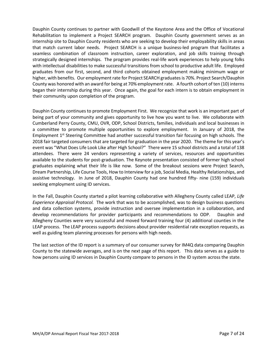Dauphin County continues to partner with Goodwill of the Keystone Area and the Office of Vocational Rehabilitation to implement a Project SEARCH program. Dauphin County government serves as an internship site to Dauphin County residents who are seeking to develop their employability skills in areas that match current labor needs. Project SEARCH is a unique business-led program that facilitates a seamless combination of classroom instruction, career exploration, and job skills training through strategically designed internships. The program provides real-life work experiences to help young folks with intellectual disabilities to make successful transitions from school to productive adult life. Employed graduates from our first, second, and third cohorts obtained employment making minimum wage or higher, with benefits. Our employment rate for Project SEARCH graduates is 70%. Project Search/Dauphin County was honored with an award for being at 70% employment rate. A fourth cohort of ten (10) interns began their internship during this year. Once again, the goal for each intern is to obtain employment in their community upon completion of the program.

Dauphin County continues to promote Employment First. We recognize that work is an important part of being part of your community and gives opportunity to live how you want to live. We collaborate with Cumberland Perry County, CMU, OVR, ODP, School Districts, families, individuals and local businesses in a committee to promote multiple opportunities to explore employment. In January of 2018, the Employment 1<sup>st</sup> Steering Committee had another successful transition fair focusing on high schools. The 2018 fair targeted consumers that are targeted for graduation in the year 2020. The theme for this year's event was "What Does Life Look Like after High School?" There were 15 school districts and a total of 138 attendees. There were 24 vendors representing a variety of services, resources and opportunities available to the students for post-graduation. The Keynote presentation consisted of former high school graduates explaining what their life is like now. Some of the breakout sessions were Project Search, Dream Partnership, Life Course Tools, How to Interview for a job, Social Media, Healthy Relationships, and assistive technology. In June of 2018, Dauphin County had one hundred fifty- nine (159) individuals seeking employment using ID services.

In the Fall, Dauphin County started a pilot learning collaborative with Allegheny County called LEAP, *Life Experience Appraisal Protocol.* The work that was to be accomplished, was to design business questions and data collection systems, provide instruction and oversee implementation in a collaboration, and develop recommendations for provider participants and recommendations to ODP. Dauphin and Allegheny Counties were very successful and moved forward training four (4) additional counties in the LEAP process. The LEAP process supports decisions about provider residential rate exception requests, as well as guiding team planning processes for persons with high needs.

The last section of the ID report is a summary of our consumer survey for IM4Q data comparing Dauphin County to the statewide averages, and is on the next page of this report. This data serves as a guide to how persons using ID services in Dauphin County compare to persons in the ID system across the state.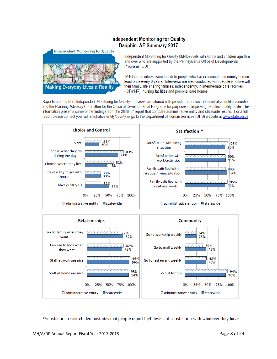# **Independent Monitoring for Quality** Dauphin AE Summary 2017



Independent Monitoring for Quality (IM4Q) visits with adults and children age three and over who are supported by the Pennsylvania Office of Developmental Programs (ODP).

IM4Q sends interviewers to talk to people who live in licensed community homes: least once every 3 years. Interviews are also conducted with people who live with their family, life-sharing families, independently, in intermediate care facilities (ICFs/MR), nursing facilities and personal care homes.

Reports created from Independent Monitoring for Quality interviews are shared with provider agencies, administrative entities/counties, and the Planning Advisory Committee for the Office of Developmental Programs for purposes of improving peoples' quality of life. This information presents some of the findings from the 2016-17 report that compare administrative entity and statewide results. For a full report please contact your administrative entity/county or go to the Department of Human Services (DHS) website at www.state.pa.us.





\*Satisfaction research demonstrates that people report high levels of satisfaction with whatever they have.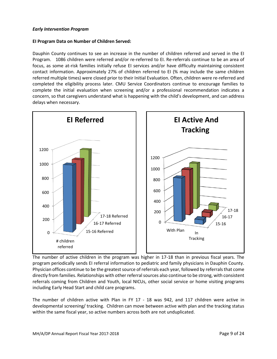#### *Early Intervention Program*

#### **EI Program Data on Number of Children Served:**

Dauphin County continues to see an increase in the number of children referred and served in the EI Program. 1086 children were referred and/or re-referred to EI. Re-referrals continue to be an area of focus, as some at-risk families initially refuse EI services and/or have difficulty maintaining consistent contact information. Approximately 27% of children referred to EI (% may include the same children referred multiple times) were closed prior to their Initial Evaluation. Often, children were re-referred and completed the eligibility process later. CMU Service Coordinators continue to encourage families to complete the initial evaluation when screening and/or a professional recommendation indicates a concern, so that caregivers understand what is happening with the child's development, and can address delays when necessary.



The number of active children in the program was higher in 17-18 than in previous fiscal years. The program periodically sends EI referral information to pediatric and family physicians in Dauphin County. Physician offices continue to be the greatest source of referrals each year, followed by referrals that come directly from families. Relationships with other referral sources also continue to be strong, with consistent referrals coming from Children and Youth, local NICUs, other social service or home visiting programs including Early Head Start and child care programs.

The number of children active with Plan in FY 17 - 18 was 942, and 117 children were active in developmental screening/ tracking. Children can move between active with plan and the tracking status within the same fiscal year, so active numbers across both are not unduplicated.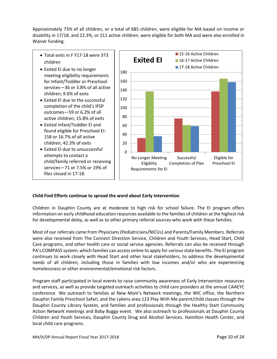Approximately 73% of all children, or a total of 685 children, were eligible for MA based on income or disability in 17/18, and 22.3%, or 211 active children, were eligible for both MA and were also enrolled in Waiver funding.

- Total exits in F Y17-18 were 373 children
- Exited EI due to no longer meeting eligibility requirements for Infant/Toddler or Preschool services—36 or 3.8% of all active children; 9.6% of exits
- Exited EI due to the successful completion of the child's IFSP outcomes—59 or 6.2% of all active children; 15.8% of exits
- Exited Infant/Toddler EI and found eligible for Preschool EI-158 or 16.7% of all active children, 42.3% of exits
- Exited EI due to unsuccessful attempts to contact a child/family referred or receiving services—71 or 7.5% or 19% of files closed in 17-18.



### **Child Find Efforts continue to spread the word about Early Intervention**

Children in Dauphin County are at moderate to high risk for school failure. The EI program offers information on early childhood education resources available to the families of children at the highest risk for developmental delay, as well as to other primary referral sources who work with these families.

Most of our referrals came from Physicians (Pediatricians/NICUs) and Parents/Family Members. Referrals were also received from The Connect Direction Service, Children and Youth Services, Head Start, Child Care programs, and other health care or social service agencies. Referrals can also be received through PA's COMPASS system, which families can access online to apply for various state benefits. The EI program continues to work closely with Head Start and other local stakeholders, to address the developmental needs of all children, including those in families with low incomes and/or who are experiencing homelessness or other environmental/emotional risk factors.

Program staff participated in local events to raise community awareness of Early Intervention resources and services, as well as provide targeted outreach activities to child care providers at the annual CAAEYC conference We outreach to families at New Mom's Network meetings, the WIC office, the Northern Dauphin Family Preschool Safari, and the Lykens area 123 Play With Me parent/child classes through the Dauphin County Library System, and families and professionals through the Healthy Start Community Action Network meetings and Baby Buggy event. We also outreach to professionals at Dauphin County Children and Youth Services, Dauphin County Drug and Alcohol Services, Hamilton Health Center, and local child care programs.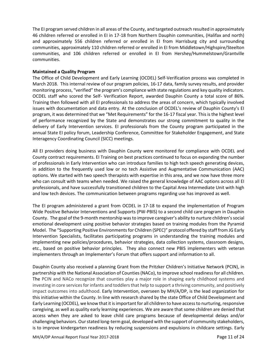The EI program served children in all areas of the County, and targeted outreach resulted in approximately 46 children referred or enrolled in EI in 17-18 from Northern Dauphin communities, (Halifax and north) and approximately 556 children referred or enrolled in EI from Harrisburg city and surrounding communities, approximately 110 children referred or enrolled in EI from Middletown/Highspire/Steelton communities, and 106 children referred or enrolled in EI from Hershey/Hummelstown/Grantville communities.

#### **Maintained a Quality Program**

The Office of Child Development and Early Learning (OCDEL) Self-Verification process was completed in March 2018. This internal review of our program policies, 16-17 data, family survey results, and provider monitoring process, "verified" the program's compliance with state regulations and key quality indicators. OCDEL staff who scored the Self- Verification Report, awarded Dauphin County a total score of 86%. Training then followed with all EI professionals to address the areas of concern, which typically involved issues with documentation and data entry. At the conclusion of OCDEL's review of Dauphin County's EI program, it was determined that we "Met Requirements" for the 16-17 fiscal year. This is the highest level of performance recognized by the State and demonstrates our strong commitment to quality in the delivery of Early Intervention services. EI professionals from the County program participated in the annual State EI policy forum, Leadership Conference, Committee for Stakeholder Engagement, and State Interagency Coordinating Council (SICC) meetings.

All EI providers doing business with Dauphin County were monitored for compliance with OCDEL and County contract requirements. EI Training on best practices continued to focus on expanding the number of professionals in Early Intervention who can introduce families to high tech speech generating devices, in addition to the frequently used low or no tech Assistive and Augmentative Communication (AAC) options. We started with two speech therapists with expertise in this area, and we now have three more who can consult with teams when needed. We raised the general knowledge of AAC options across all EI professionals, and have successfully transitioned children to the Capital Area Intermediate Unit with high and low tech devices. The communication between programs regarding use has improved as well.

The EI program administered a grant from OCDEL in 17-18 to expand the implementation of Program Wide Positive Behavior Interventions and Supports (PW-PBIS) to a second child care program in Dauphin County. The goal of the 9-month mentorship was to improve caregiver's ability to nurture children's social emotional development using positive behavior strategies based on training modules from the Pyramid Model. The "Supporting Positive Environments for Children (SPEC)" protocol offered by staff from JG Early Intervention Specialists, facilitates participating programs in understanding the training modules and implementing new policies/procedures, behavior strategies, data collection systems, classroom designs, etc., based on positive behavior principles. They also connect new PBIS implementers with veteran implementers through an Implementer's Forum that offers support and information to all.

Dauphin County also received a planning Grant from the Pritzker Children's Initiative Network (PCIN), in partnership with the National Association of Counties (NACo), to improve school readiness for all children. The PCIN and NACo recognize that counties play a major role in shaping early childhood systems and investing in core services for infants and toddlers that help to support a thriving community, and positively impact outcomes into adulthood. Early Intervention, overseen by MH/A/DP, is the lead organization for this initiative within the County. In line with research shared by the state Office of Child Development and Early Learning (OCDEL), we know that it is important for all children to have access to nurturing, responsive caregiving, as well as quality early learning experiences. We are aware that some children are denied that access when they are asked to leave child care programs because of developmental delays and/or challenging behaviors. Our stated long-term goal, developed with the support of community stakeholders, is to improve kindergarten readiness by reducing suspensions and expulsions in childcare settings. Early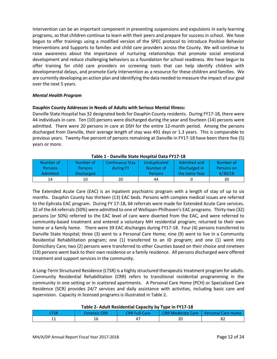Intervention can be an important component in preventing suspensions and expulsions in early learning programs, so that children continue to learn with their peers and prepare for success in school. We have begun to offer trainings using a modified version of the SPEC protocol to introduce Positive Behavior Interventions and Supports to families and child care providers across the County. We will continue to raise awareness about the importance of nurturing relationships that promote social emotional development and reduce challenging behaviors as a foundation for school readiness. We have begun to offer training for child care providers on screening tools that can help identify children with developmental delays, and promote Early Intervention as a resource for these children and families. We are currently developing an action plan and identifying the data needed to measure the impact of our goal over the next 5 years.

#### *Mental Health Program*

#### **Dauphin County Addresses in Needs of Adults with Serious Mental Illness:**

Danville State Hospital has 32 designated beds for Dauphin County residents. During FY17-18, there were 44 individuals in care. Ten (10) persons were discharged during the year and fourteen (14) persons were admitted. There were 20 persons in care at DSH for the entire 12-month period. Among the persons discharged from Danville, their average length of stay was 491 days or 1.3 years. This is comparable to previous years. Twenty-five percent of persons remaining at Danville in FY17-18 have been there five (5) years or more.

| Number of       | Number of         | <b>Continuous Stay</b> | <b>Unduplicated</b> | Admitted and  | Number of  |  |  |  |
|-----------------|-------------------|------------------------|---------------------|---------------|------------|--|--|--|
| <b>Persons</b>  | <b>Persons</b>    | during FY              | Number of           | Discharged in | Persons on |  |  |  |
| <b>Admitted</b> | <b>Discharged</b> |                        | <b>Persons</b>      | the Same Year | 6/30/18    |  |  |  |
| 14              | 10                | 20                     | 44                  |               | 30         |  |  |  |

#### **Table 1 - Danville State Hospital Data FY17-18**

The Extended Acute Care (EAC) is an inpatient psychiatric program with a length of stay of up to six months. Dauphin County has thirteen (13) EAC beds. Persons with complex medical issues are referred to the Ephrata EAC program. During FY 17-18, 64 referrals were made for Extended Acute Care services. 32 of the 64 referrals (50%) were admitted to one of Wellspan-Philhaven's EAC programs. Thirty-two (32) persons (or 50%) referred to the EAC level of care were diverted from the EAC, and were referred to community-based treatment and entered a voluntary MH residential program; returned to their own home or a family home. There were 39 EAC discharges during FY17-18. Four (4) persons transferred to Danville State Hospital; three (3) went to a Personal Care Home; nine (9) went to live in a Community Residential Rehabilitation program; one (1) transferred to an ID program; and one (1) went into Domiciliary Care; two (2) persons were transferred to other Counties based on their choice and nineteen (19) persons went back to their own residence or a family residence. All persons discharged were offered treatment and support services in the community.

A Long-Term Structured Residence (LTSR) is a highly structured therapeutic treatment program for adults. Community Residential Rehabilitation (CRR) refers to transitional residential programming in the community in one setting or in scattered apartments. A Personal Care Home (PCH) or Specialized Care Residence (SCR) provides 24/7 services and daily assistance with activities, including basic care and supervision. Capacity in licensed programs is illustrated in Table 2.

#### **Table 2- Adult Residential Capacity by Type in FY17-18**

| <b>ATSR</b> | Forensic CRR | <b>CRR Full-Care</b> | CRR Moderate Care   Personal Care Home |    |
|-------------|--------------|----------------------|----------------------------------------|----|
| <b>. .</b>  | ᅭ            |                      | 20                                     | oΖ |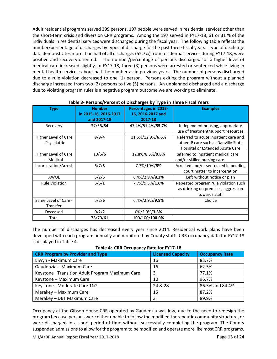Adult residential programs served 399 persons. 197 people were served in residential services other than the short-term crisis and diversion CRR programs. Among the 197 served in FY17-18, 61 or 31 % of the individuals in residential services were discharged during the fiscal year. The following table reflects the number/percentage of discharges by types of discharge for the past three fiscal years. Type of discharge data demonstrates more than half of all discharges (55.7%) from residential services during FY17-18, were positive and recovery-oriented. The number/percentage of persons discharged for a higher level of medical care increased slightly. In FY17-18, three (3) persons were arrested or sentenced while living in mental health services; about half the number as in previous years. The number of persons discharged due to a rule violation decreased to one (1) person. Persons exiting the program without a planned discharge increased from two (2) persons to five (5) persons. An unplanned discharged and a discharge due to violating program rules is a negative program outcome we are working to eliminate.

| <b>Type</b>                           | <b>Number</b><br>in 2015-16, 2016-2017<br>and 2017-18 | <b>Percentages in 2015-</b><br>16, 2016-2017 and<br>2017-18 | <b>Examples</b>                                                                                                 |
|---------------------------------------|-------------------------------------------------------|-------------------------------------------------------------|-----------------------------------------------------------------------------------------------------------------|
| Recovery                              | 37/36/34                                              | 47.4%/51.4%/55.7%                                           | Independent housing, appropriate<br>use of treatment/support resources                                          |
| Higher Level of Care<br>- Psychiatric | 9/9/4                                                 | 11.5%/12.9%/6.6%                                            | Referred to acute inpatient care and<br>other IP care such as Danville State<br>Hospital or Extended Acute Care |
| Higher Level of Care<br>- Medical     | 10/6/6                                                | 12.8%/8.5%/9.8%                                             | Referred to inpatient medical care<br>and/or skilled nursing care                                               |
| Incarceration/Arrest                  | 6/7/3                                                 | 7.7%/10%/5%                                                 | Arrested and/or sentenced in pending<br>court matter to incarceration                                           |
| AWOL                                  | 5/2/5                                                 | $6.4\%/2.9\%/8.2\%$                                         | Left without notice or plan                                                                                     |
| <b>Rule Violation</b>                 | 6/6/1                                                 | 7.7%/9.3%/1.6%                                              | Repeated program rule violation such<br>as drinking on premises, aggression<br>towards staff                    |
| Same Level of Care -<br>Transfer      | 5/2/6                                                 | 6.4%/2.9%/9.8%                                              | Choice                                                                                                          |
| Deceased                              | 0/2/2                                                 | 0%/2.9%/3.3%                                                |                                                                                                                 |
| Total                                 | 78/70/61                                              | 100/100/100.0%                                              |                                                                                                                 |

#### **Table 3- Persons/Percent of Discharges by Type in Three Fiscal Years**

The number of discharges has decreased every year since 2014. Residential work plans have been developed with each program annually and monitored by County staff. CRR occupancy data for FY17-18 is displayed in Table 4.

| <b>CRR Program by Provider and Type</b>          | <b>Licensed Capacity</b> | <b>Occupancy Rate</b> |
|--------------------------------------------------|--------------------------|-----------------------|
| Elwyn - Maximum Care                             | 16                       | 83.7%                 |
| Gaudenzia - Maximum Care                         | 16                       | 62.5%                 |
| Keystone - Transition Adult Program Maximum Care | 3                        | 77.1%                 |
| Keystone - Maximum Care                          | 10                       | 96.7%                 |
| Keystone - Moderate Care 1&2                     | 24 & 28                  | 86.5% and 84.4%       |
| Merakey - Maximum Care                           | 15                       | 87.2%                 |
| Merakey - DBT Maximum Care                       | 3                        | 89.9%                 |

**Table 4: CRR Occupancy Rate for FY17-18**

Occupancy at the Gibson House CRR operated by Gaudenzia was low, due to the need to redesign the program because persons were either unable to follow the modified therapeutic community structure, or were discharged in a short period of time without successfully completing the program. The County suspended admissions to allow for the program to be modified and operate more like most CRR programs.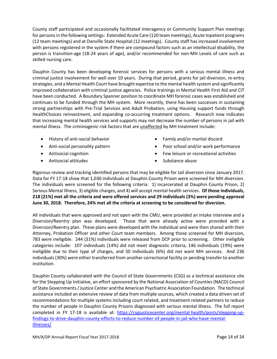County staff participated and occasionally facilitated interagency or Community Support Plan meetings for persons in the following settings: Extended Acute Care (120 team meetings), Acute Inpatient programs (12 team meetings) and at Danville State Hospital (12 meetings). County staff has increased involvement with persons registered in the system if there are compound factors such as an intellectual disability, the person is transition-age (18-24 years of age), and/or recommended for non-MH Levels of care such as skilled nursing care.

Dauphin County has been developing forensic services for persons with a serious mental illness and criminal justice involvement for well over 10 years. During that period, grants for jail diversion, re-entry strategies, and a Mental Health Court have brought expertise to the mental health system and significantly improved collaboration with criminal justice agencies. Police trainings in Mental Health First Aid and CIT have been conducted. A Boundary Spanner position to coordinate MH forensic cases was established and continues to be funded through the MH system. More recently, there has been successes in sustaining strong partnerships with Pre-Trial Services and Adult Probation, using Housing support funds through HealthChoices reinvestment, and expanding co-occurring treatment options. Research now indicates that increasing mental health services and supports may not decrease the number of persons in jail with mental illness. The criminogenic risk factors that are unaffected by MH treatment include:

- History of anti-social behavior
- Anti-social personality pattern
- Antisocial cognition
- Antisocial attitudes
- Family and/or marital discord
- Poor school and/or work performance
- Few leisure or recreational activities
- Substance abuse

Rigorous review and tracking identified persons that may be eligible for Jail diversion since January 2017. Data for FY 17-18 show that 1,030 individuals at Dauphin County Prison were screened for MH diversion. The individuals were screened for the following criteria: 1) incarcerated at Dauphin County Prison, 2) Serious Mental Illness, 3) eligible charges, and 4) will accept mental health services. **Of those individuals, 218 (21%) met all the criteria and were offered services and 29 individuals (3%) were pending approval June 30, 2018. Therefore, 24% met all the criteria at screening to be considered for diversion.**

All individuals that were approved and not open with the CMU, were provided an intake interview and a Diversion/Reentry plan was developed. Those that were already active were provided with a Diversion/Reentry plan. These plans were developed with the individual and were then shared with their Attorney, Probation Officer and other Court team members. Among those screened for MH diversion, 783 were ineligible. 244 (31%) individuals were released from DCP prior to screening. Other ineligible categories include: 107 individuals (14%) did not meet diagnostic criteria, 146 individuals (19%) were ineligible due to their type of charges, and 50 individuals (6%) did not want MH services. And 236 individuals (30%) were either transferred from another correctional facility or pending transfer to another institution.

Dauphin County collaborated with the Council of State Governments (CSG) as a technical assistance site for the Stepping Up Initiative, an effort sponsored by the National Association of Counties (NACO) Council of State Governments / Justice Center and the American Psychiatric Association Foundation. The technical assistance included an extensive review of data from multiple sources, which created a data driven set of recommendations for multiple systems including court related, and treatment related partners to reduce the number of people in Dauphin County Prisons diagnosed with serious mental illness. The full report completed in FY 17-18 is available at: [https://csgjusticecenter.org/mental-health/posts/stepping-up](https://csgjusticecenter.org/mental-health/posts/stepping-up-findings-to-drive-dauphin-county-efforts-to-reduce-number-of-people-in-jail-who-have-mental-illnesses/)[findings-to-drive-dauphin-county-efforts-to-reduce-number-of-people-in-jail-who-have-mental](https://csgjusticecenter.org/mental-health/posts/stepping-up-findings-to-drive-dauphin-county-efforts-to-reduce-number-of-people-in-jail-who-have-mental-illnesses/)[illnesses/](https://csgjusticecenter.org/mental-health/posts/stepping-up-findings-to-drive-dauphin-county-efforts-to-reduce-number-of-people-in-jail-who-have-mental-illnesses/)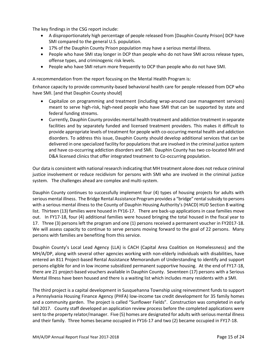The key findings in the CSG report include:

- A disproportionately high percentage of people released from [Dauphin County Prison] DCP have SMI compared to the general U.S. population.
- 17% of the Dauphin County Prison population may have a serious mental illness.
- People who have SMI stay longer in DCP than people who do not have SMI across release types, offense types, and criminogenic risk levels.
- People who have SMI return more frequently to DCP than people who do not have SMI.

A recommendation from the report focusing on the Mental Health Program is:

Enhance capacity to provide community-based behavioral health care for people released from DCP who have SMI. [and that Dauphin County should]

- Capitalize on programming and treatment (including wrap-around case management services) meant to serve high-risk, high-need people who have SMI that can be supported by state and federal funding streams.
- Currently, Dauphin County provides mental health treatment and addiction treatment in separate facilities and by separately funded and licensed treatment providers. This makes it difficult to provide appropriate levels of treatment for people with co-occurring mental health and addiction disorders. To address this issue, Dauphin County should develop additional services that can be delivered in one specialized facility for populations that are involved in the criminal justice system and have co-occurring addiction disorders and SMI. Dauphin County has two co-located MH and D&A licensed clinics that offer integrated treatment to Co-occurring population.

Our data is consistent with national research indicating that MH treatment alone does not reduce criminal justice involvement or reduce recidivism for persons with SMI who are involved in the criminal justice system. The challenges ahead are complex and multi-system.

Dauphin County continues to successfully implement four (4) types of housing projects for adults with serious mental illness. The Bridge Rental Assistance Program provides a "bridge" rental subsidy to persons with a serious mental illness to the County of Dauphin Housing Authority's (HACD) HUD Section 8 waiting list. Thirteen (13) families were housed in FY16-17. There are back-up applications in case families move out. In FY17-18, four (4) additional families were housed bringing the total housed in the fiscal year to 17. Three (3) persons left the program and one (1) persons received a permanent voucher in FY2017-18. We will assess capacity to continue to serve persons moving forward to the goal of 22 persons. Many persons with families are benefiting from this service.

Dauphin County's Local Lead Agency (LLA) is CACH (Capital Area Coalition on Homelessness) and the MH/A/DP, along with several other agencies working with non-elderly individuals with disabilities, have entered an 811 Project-based Rental Assistance Memorandum of Understanding to identify and support persons eligible for and in low income subsidized permanent supportive housing. At the end of FY17-18, there are 21 project-based vouchers available in Dauphin County. Seventeen (17) persons with a Serious Mental Illness have been housed and there is a waiting list which includes many residents with a SMI.

The third project is a capital development in Susquehanna Township using reinvestment funds to support a Pennsylvania Housing Finance Agency (PHFA) low-income tax credit development for 35 family homes and a community garden. The project is called "Sunflower Fields". Construction was completed in early fall 2017. County staff developed an application review process before the completed applications were sent to the property relator/manager. Five (5) homes are designated for adults with serious mental illness and their family. Three homes became occupied in FY16-17 and two (2) became occupied in FY17-18.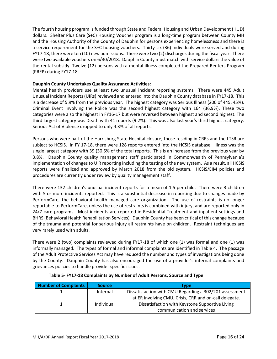The fourth housing program is funded through State and Federal Housing and Urban Development (HUD) dollars. Shelter Plus Care (S+C) Housing Voucher program is a long-time program between County MH and the Housing Authority of the County of Dauphin for persons experiencing homelessness and there is a service requirement for the S+C housing vouchers. Thirty-six (36) individuals were served and during FY17-18, there were ten (10) new admissions. There were two (2) discharges during the fiscal year. There were two available vouchers on 6/30/2018. Dauphin County must match with service dollars the value of the rental subsidy. Twelve (12) persons with a mental illness completed the Prepared Renters Program (PREP) during FY17-18.

#### **Dauphin County Undertakes Quality Assurance Activities:**

Mental health providers use at least two unusual incident reporting systems. There were 445 Adult Unusual Incident Reports (UIRs) reviewed and entered into the Dauphin County database in FY17-18. This is a decrease of 5.9% from the previous year. The highest category was Serious Illness (200 of 445, 45%). Criminal Event Involving the Police was the second highest category with 164 (36.9%). These two categories were also the highest in FY16-17 but were reversed between highest and second highest. The third largest category was Death with 41 reports (9.2%). This was also last year's third highest category. Serious Act of Violence dropped to only 4.3% of all reports.

Persons who were part of the Harrisburg State Hospital closure, those residing in CRRs and the LTSR are subject to HCSIS. In FY 17-18, there were 128 reports entered into the HCSIS database. Illness was the single largest category with 39 (30.5% of the total reports. This is an increase from the previous year by 3.8%. Dauphin County quality management staff participated in Commonwealth of Pennsylvania's implementation of changes to UIR reporting including the testing of the new system. As a result, all HCSIS reports were finalized and approved by March 2018 from the old system. HCSIS/EIM policies and procedures are currently under review by quality management staff.

There were 132 children's unusual incident reports for a mean of 1.5 per child. There were 3 children with 5 or more incidents reported. This is a substantial decrease in reporting due to changes made by PerformCare, the behavioral health managed care organization. The use of restraints is no longer reportable to PerformCare, unless the use of restraints is combined with injury, and are reported only in 24/7 care programs. Most incidents are reported in Residential Treatment and inpatient settings and BHRS (Behavioral Health Rehabilitation Services). Dauphin County has been critical of this change because of the trauma and potential for serious injury all restraints have on children. Restraint techniques are very rarely used with adults.

There were 2 (two) complaints reviewed during FY17-18 of which one (1) was formal and one (1) was informally managed. The types of formal and informal complaints are identified in Table 4. The passage of the Adult Protective Services Act may have reduced the number and types of investigations being done by the County. Dauphin County has also encouraged the use of a provider's internal complaints and grievances policies to handle provider specific issues.

| <b>Number of Complaints</b> | <b>Source</b> | Tvpe                                                    |  |
|-----------------------------|---------------|---------------------------------------------------------|--|
|                             | Internal      | Dissatisfaction with CMU Regarding a 302/201 assessment |  |
|                             |               | at ER involving CMU, Crisis, CRR and on-call delegate.  |  |
|                             | Individual    | Dissatisfaction with Keystone Supportive Living         |  |
|                             |               | communication and services                              |  |

#### **Table 5- FY17-18 Complaints by Number of Adult Persons, Source and Type**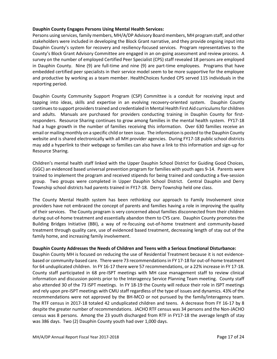#### **Dauphin County Engages Persons Using Mental Health Services:**

Persons using services, family members, MH/A/DP Advisory Board members, MH program staff, and other stakeholders were included in developing the Block Grant narrative, and they provide ongoing input into Dauphin County's system for recovery and resiliency-focused services. Program representatives to the County's Block Grant Advisory Committee are engaged in an on-going assessment and review process. A survey on the number of employed Certified Peer Specialist (CPS) staff revealed 18 persons are employed in Dauphin County. Nine (9) are full-time and nine (9) are part-time employees. Programs that have embedded certified peer specialists in their service model seem to be more supportive for the employee and productive by working as a team member. HealthChoices funded CPS served 115 individuals in the reporting period.

Dauphin County Community Support Program (CSP) Committee is a conduit for receiving input and tapping into ideas, skills and expertise in an evolving recovery-oriented system. Dauphin County continues to support providers trained and credentialed in Mental Health First Aid curriculums for children and adults. Manuals are purchased for providers conducting training in Dauphin County for firstresponders. Resource Sharing continues to grow among families in the mental health system. FY17-18 had a huge growth in the number of families receiving this information. Over 630 families receive an email or mailing monthly on a specific child or teen issue. The information is posted to the Dauphin County website and is shared electronically with all MH provider agencies. During FY17-18 public school districts may add a hyperlink to their webpage so families can also have a link to this information and sign-up for Resource Sharing.

Children's mental health staff linked with the Upper Dauphin School District for Guiding Good Choices, (GGC) an evidenced based universal prevention program for families with youth ages 9-14. Parents were trained to implement the program and received stipends for being trained and conducting a five-session group. Two groups were completed in Upper Dauphin School District. Central Dauphin and Derry Township school districts had parents trained in FY17-18. Derry Township held one class.

The County Mental Health system has been rethinking our approach to Family Involvement since providers have not embraced the concept of parents and families having a role in improving the quality of their services. The County program is very concerned about families disconnected from their children during out-of-home treatment and essentially abandon them to CYS care. Dauphin County promotes the Building Bridges Initiative (BBI), a way of re-focusing out-of-home treatment and community-based treatment through quality care, use of evidenced based treatment, decreasing length of stay out of the family home, and increasing family involvement.

#### **Dauphin County Addresses the Needs of Children and Teens with a Serious Emotional Disturbance:**

Dauphin County MH is focused on reducing the use of Residential Treatment because it is not evidencebased or community-based care. There were 73 recommendations in FY 17-18 for out-of-home treatment for 64 unduplicated children. In FY 16-17 there were 57 recommendations, or a 22% increase in FY 17-18. County staff participated in 68 pre-ISPT meetings with MH case management staff to review clinical information and discussion points prior to the Interagency Service Planning Team meeting. County staff also attended 30 of the 73 ISPT meetings. In FY 18-19 the County will reduce their role in ISPT meetings and rely upon pre-ISPT meetings with CMU staff regardless of the type of issues and dynamics. 43% of the recommendations were not approved by the BH-MCO or not pursued by the family/interagency team. The RTF census in 2017-18 totaled 42 unduplicated children and teens. A decrease from FY 16-17 by 8 despite the greater number of recommendations. JACHO RTF census was 34 persons and the Non-JACHO census was 8 persons. Among the 23 youth discharged from RTF in FY17-18 the average length of stay was 386 days. Two (2) Dauphin County youth had over 1,000 days.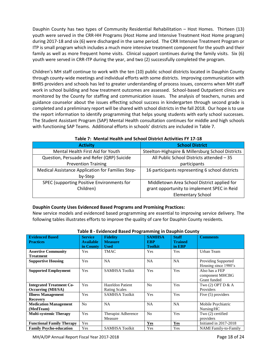Dauphin County has two types of Community Residential Rehabilitation – Host Homes. Thirteen (13) youth were served in the CRR-HH Programs (Host Home and Intensive Treatment Host Home program) during 2017-18 and six (6) were discharged in the same period. The CRR Intensive Treatment Program or ITP is small program which includes a much more intensive treatment component for the youth and their family as well as more frequent home visits. Clinical support continues during the family visits. Six (6) youth were served in CRR-ITP during the year, and two (2) successfully completed the program.

Children's MH staff continue to work with the ten (10) public school districts located in Dauphin County through county-wide meetings and individual efforts with some districts. Improving communication with BHRS providers and schools has led to greater understanding of process issues, concerns when MH staff work in school building and how treatment outcomes are assessed. School-based Outpatient clinics are monitored by the County for staffing and communication issues. The analysis of teachers, nurses and guidance counselor about the issues effecting school success in kindergarten through second grade is completed and a preliminary report will be shared with school districts in the fall 2018. Our hope is to use the report information to identify programming that helps young students with early school successes. The Student Assistant Program (SAP) Mental Health consultation continues for middle and high schools with functioning SAP Teams. Additional efforts in schools' districts are included in Table 7.

| Table 7. Thental Health and Jenoor District Activities FT 17-10 |                                                   |  |  |  |  |
|-----------------------------------------------------------------|---------------------------------------------------|--|--|--|--|
| <b>Activity</b>                                                 | <b>School District</b>                            |  |  |  |  |
| Mental Health First Aid for Youth                               | Steelton-Highspire & Millersburg School Districts |  |  |  |  |
| Question, Persuade and Refer (QRP) Suicide                      | All Public School Districts attended - 35         |  |  |  |  |
| <b>Prevention Training</b>                                      | participants                                      |  |  |  |  |
| Medical Assistance Application for Families Step-               | 16 participants representing 6 school districts   |  |  |  |  |
| by-Step                                                         |                                                   |  |  |  |  |
| SPEC (supporting Positive Environments for                      | Middletown Area School District applied for       |  |  |  |  |
| Children)                                                       | grant opportunity to implement SPEC in Reid       |  |  |  |  |
|                                                                 | <b>Elementary School</b>                          |  |  |  |  |

#### **Table 7: Mental Health and School District Activities FY 17-18**

#### **Dauphin County Uses Evidenced Based Programs and Promising Practices:**

New service models and evidenced based programming are essential to improving service delivery. The following tables illustrates efforts to improve the quality of care for Dauphin County residents.

| Table o - Evidenced Dased Frogramming in Dauphin County |                                                 |                                                  |                                               |                                          |                                                    |  |
|---------------------------------------------------------|-------------------------------------------------|--------------------------------------------------|-----------------------------------------------|------------------------------------------|----------------------------------------------------|--|
| <b>Evidenced Based</b><br><b>Practices</b>              | <b>Service</b><br><b>Available</b><br>in County | <b>Fidelity</b><br><b>Measure</b><br><b>Used</b> | <b>SAMHSA</b><br><b>EBP</b><br><b>Toolkit</b> | <b>Staff</b><br><b>Trained</b><br>in EBP | <b>Comments</b>                                    |  |
| <b>Assertive Community</b><br>Treatment                 | Yes                                             | TMAC                                             | Yes                                           | Yes                                      | Urban Team                                         |  |
| <b>Supportive Housing</b>                               | Yes                                             | <b>NA</b>                                        | <b>NA</b>                                     | <b>NA</b>                                | <b>Providing Supported</b><br>Housing since 1980's |  |
| <b>Supported Employment</b>                             | Yes                                             | <b>SAMHSA Toolkit</b>                            | Yes                                           | Yes                                      | Also has a FEP<br>component MHCBG<br>Grant funded  |  |
| <b>Integrated Treatment Co-</b><br>Occurring (MH/SA)    | Yes                                             | <b>Hazeldon Patient</b><br><b>Rating Scales</b>  | N <sub>o</sub>                                | Yes                                      | Two $(2)$ OPT D & A<br>Providers                   |  |
| <b>Illness Management</b><br><b>Recovery</b>            | Yes                                             | <b>SAMHSA Toolkit</b>                            | Yes                                           | Yes                                      | Five (5) providers                                 |  |
| <b>Medication Management</b><br>(MedTeam)               | No                                              | <b>NA</b>                                        | <b>NA</b>                                     | <b>NA</b>                                | Mobile Psychiatric<br>Nursing/HC                   |  |
| <b>Multi-systemic Therapy</b>                           | Yes                                             | Therapist Adherence<br>Measure                   | N <sub>o</sub>                                | Yes                                      | Two (2) certified<br>providers                     |  |
| <b>Functional Family Therapy</b>                        | Yes                                             |                                                  | <b>Yes</b>                                    | <b>Yes</b>                               | Initiated in 2017-2018                             |  |
| <b>Family Psycho-education</b>                          | Yes                                             | <b>SAMHSA Toolkit</b>                            | Yes                                           | Yes                                      | <b>NAMI</b> Family-to-Family                       |  |

#### **Table 8 - Evidenced Based Programming in Dauphin County**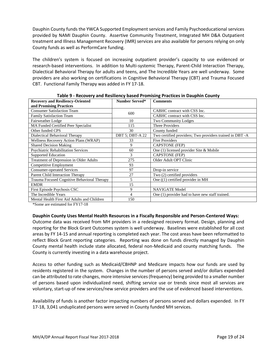Dauphin County funds the YWCA Supported Employment services and Family Psychoeducational services provided by NAMI Dauphin County. Assertive Community Treatment, Integrated MH D&A Outpatient treatment and Illness Management Recovery (IMR) services are also available for persons relying on only County funds as well as PerformCare funding.

The children's system is focused on increasing outpatient provider's capacity to use evidenced or research-based interventions. In addition to Multi-systemic Therapy, Parent-Child Interaction Therapy, Dialectical Behavioral Therapy for adults and teens, and The Incredible Years are well underway. Some providers are also working on certifications in Cognitive Behavioral Therapy (CBT) and Trauma Focused CBT. Functional Family Therapy was added in FY 17-18.

| <b>Recovery and Resiliency-Oriented</b>     | <b>Number Served*</b>  | <b>Comments</b>                                          |
|---------------------------------------------|------------------------|----------------------------------------------------------|
| and Promising Practices                     |                        |                                                          |
| <b>Consumer Satisfaction Team</b>           | 600                    | CABHC contract with CSS Inc.                             |
| <b>Family Satisfaction Team</b>             |                        | CABHC contract with CSS Inc.                             |
| Fairweather Lodge                           | 10                     | <b>Two Community Lodges</b>                              |
| MA Funded Certified Peer Specialist         | 115                    | <b>Three Providers</b>                                   |
| Other funded CPS                            | 30                     | County funded                                            |
| Dialectical Behavioral Therapy              | <b>DBT 5; DBT-A 22</b> | Two certified providers; Two providers trained in DBT -A |
| Wellness Recovery Action Plans (WRAP)       | 33                     | <b>Five Providers</b>                                    |
| <b>Shared Decision Making</b>               | 9                      | <b>CAPSTONE</b> (FEP)                                    |
| <b>Psychiatric Rehabilitation Services</b>  | 60                     | One (1) licensed provider Site & Mobile                  |
| <b>Supported Education</b>                  | 3                      | <b>CAPSTONE</b> (FEP)                                    |
| Treatment of Depression in Older Adults     | 275                    | Older Adult OPT Clinic                                   |
| Competitive Employment                      | 93                     |                                                          |
| <b>Consumer-operated Services</b>           | 97                     | Drop-in service                                          |
| Parent Child Interaction Therapy            | 27                     | Two (2) certified providers                              |
| Trauma Focused Cognitive Behavioral Therapy | 5                      | One $(1)$ certified provider in MH                       |
| <b>EMDR</b>                                 | 15                     |                                                          |
| First Episode Psychosis CSC                 | 9                      | <b>NAVIGATE Model</b>                                    |
| The Incredible Years                        | 4                      | One (1) provider had to have new staff trained.          |
| Mental Health First Aid Adults and Children | 150                    |                                                          |

**Table 9 - Recovery and Resiliency based Promising Practices in Dauphin County**

\*Some are estimated for FY17-18

# **Dauphin County Uses Mental Health Resources in a Fiscally Responsible and Person-Centered Ways:**

Outcome data was received from MH providers in a redesigned recovery format. Design, planning and reporting for the Block Grant Outcomes system is well underway. Baselines were established for all cost areas by FY 14-15 and annual reporting is completed each year. The cost areas have been reformatted to reflect Block Grant reporting categories. Reporting was done on funds directly managed by Dauphin County mental health include state allocated, federal non-Medicaid and county matching funds. The County is currently investing in a data warehouse project.

Access to other funding such as Medicaid/CBHNP and Medicare impacts how our funds are used by residents registered in the system. Changes in the number of persons served and/or dollars expended can be attributed to rate changes, more intensive services (frequency) being provided to a smaller number of persons based upon individualized need, shifting service use or trends since most all services are voluntary, start-up of new services/new service providers and the use of evidenced based interventions.

Availability of funds is another factor impacting numbers of persons served and dollars expended. In FY 17-18, 3,041 unduplicated persons were served in County funded MH services.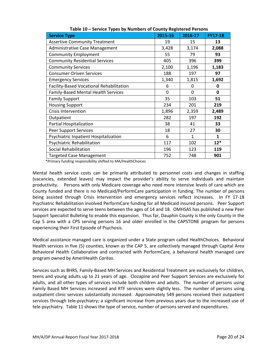| <b>Service Type</b>                      | 2015-16 | 2016-17 | <b>FY17-18</b> |
|------------------------------------------|---------|---------|----------------|
| <b>Assertive Community Treatment</b>     | 19      | 15      | 13             |
| Administrative Case Management           | 3,428   | 3,174   | 2,088          |
| <b>Community Employment</b>              | 55      | 79      | 93             |
| <b>Community Residential Services</b>    | 405     | 396     | 399            |
| <b>Community Services</b>                | 2,100   | 1,196   | 1,183          |
| <b>Consumer-Driven Services</b>          | 188     | 197     | 97             |
| <b>Emergency Services</b>                | 1,340   | 1,815   | 1,692          |
| Facility-Based Vocational Rehabilitation | 6       | 0       | 0              |
| Family-Based Mental Health Services      | 0       | 0       | 0              |
| <b>Family Support</b>                    | 35      | 103     | 51             |
| <b>Housing Support</b>                   | 234     | 201     | 219            |
| <b>Crisis Intervention</b>               | 1,896   | 2,359   | 2,489          |
| Outpatient                               | 282     | 197     | 192            |
| Partial Hospitalization                  | 38      | 41      | 33             |
| <b>Peer Support Services</b>             | 18      | 27      | 30             |
| Psychiatric Inpatient Hospitalization    | 6       | 1       | 1              |
| Psychiatric Rehabilitation               | 117     | 102     | $12*$          |
| Social Rehabilitation                    | 196     | 123     | 119            |
| <b>Targeted Case Management</b>          | 752     | 748     | 901            |

**Table 10 – Service Types by Numbers of County Registered Persons**

\*Primary funding responsibility shifted to MA/HealthChoices

Mental health service costs can be primarily attributed to personnel costs and changes in staffing (vacancies, extended leaves) may impact the provider's ability to serve individuals and maintain productivity. Persons with only Medicare coverage who need more intensive levels of care which are County funded and there is no Medicaid/PerformCare participation in funding. The number of persons being assisted through Crisis Intervention and emergency services reflect increases. In FY 17-18 Psychiatric Rehabilitation involved PerformCare funding for all Medicaid insured persons. Peer Support services are expected to serve teens between the ages of 14 and 18. OMHSAS has published a new Peer Support Specialist Bulleting to enable this expansion. Thus far, Dauphin County is the only County in the Cap 5 area with a CPS serving persons 16 and older enrolled in the CAPSTONE program for persons experiencing their First Episode of Psychosis.

Medical assistance managed care is organized under a State program called HealthChoices. Behavioral Health services in five (5) counties, known as the CAP 5, are collectively managed through Capital Area Behavioral Health Collaborative and contracted with PerformCare, a behavioral health managed care program owned by AmeriHealth *Caritas*.

Services such as BHRS, Family-Based MH Services and Residential Treatment are exclusively for children, teens and young adults up to 21 years of age. Clozapine and Peer Support Services are exclusively for adults, and all other types of services include both children and adults. The number of persons using Family Based MH Services increased and RTF services were slightly less. The number of persons using outpatient clinic services substantially increased. Approximately 549 persons received their outpatient services through tele-psychiatry; a significant increase from previous years due to the increased use of tele-psychiatry. Table 11 shows the type of service, number of persons served and expenditures.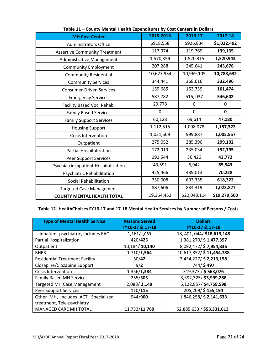|                                       | 2015-2016   | 2016-17      | 2017-18      |
|---------------------------------------|-------------|--------------|--------------|
| <b>MH Cost Center</b>                 |             |              |              |
| <b>Administrators Office</b>          | \$918,558   | \$926,834    | \$1,022,492  |
| <b>Assertive Community Treatment</b>  | 117,974     | 119,769      | 139,135      |
| Administrative Management             | 1,570,359   | 1,520,315    | 1,520,943    |
| <b>Community Employment</b>           | 207,288     | 245,641      | 243,678      |
| <b>Community Residential</b>          | 10,627,934  | 10,969,105   | 10,788,632   |
| <b>Community Services</b>             | 344,441     | 368,616      | 332,496      |
| <b>Consumer-Driven Services</b>       | 159,685     | 153,739      | 161,474      |
| <b>Emergency Services</b>             | 587,782     | 616, 037     | 546,602      |
| Facility Based Voc. Rehab.            | 29,778      | 0            | 0            |
| <b>Family Based Services</b>          | $\mathbf 0$ | 0            | $\mathbf 0$  |
| <b>Family Support Services</b>        | 60,128      | 69,614       | 47,180       |
| <b>Housing Support</b>                | 1,112,515   | 1,098,078    | 1,157,322    |
| <b>Crisis Intervention</b>            | 1,031,509   | 999,887      | 1,005,557    |
| Outpatient                            | 275,052     | 285,390      | 299,102      |
| Partial Hospitalization               | 172,919     | 235,034      | 192,795      |
| Peer Support Services                 | 191,544     | 36,426       | 43,772       |
| Psychiatric Inpatient Hospitalization | 43,591      | 6,942        | 65,943       |
| Psychiatric Rehabilitation            | 425,466     | 439,013      | 70,228       |
| Social Rehabilitation                 | 750,008     | 603,355      | 618,322      |
| <b>Targeted Case Management</b>       | 887,606     | 834,319      | 1,023,827    |
| <b>COUNTY MENTAL HEALTH TOTAL</b>     | 19,354,452  | \$20,048,114 | \$19,279,500 |

| Table 11 - County Mental Health Expenditures by Cost Centers in Dollars |  |  |
|-------------------------------------------------------------------------|--|--|
|-------------------------------------------------------------------------|--|--|

# **Table 12- HealthChoices FY16-17 and 17-18 Mental Health Services by Number of Persons / Costs**

| <b>Type of Mental Health Service</b>  | <b>Persons Served</b><br>FY16-17 & 17-18 | <b>Dollars</b><br>FY16-17 & 17-18 |
|---------------------------------------|------------------------------------------|-----------------------------------|
| Inpatient psychiatric, includes EAC   | 1,161/1,083                              | 18, 401, 044/ \$18, 613, 148      |
| Partial Hospitalization               | 420/425                                  | 1,381,270/ \$1,477,397            |
| Outpatient                            | 10,184/10,140                            | 8,092,472/\$7,954,836             |
| <b>BHRS</b>                           | 1,710/1,564                              | 10,617,852/\$11,454,788           |
| <b>Residential Treatment Facility</b> | 50/42                                    | 3,434,227/ \$2,213,158            |
| Clozapine/Clozapine Support           | 9/2                                      | 744/\$497                         |
| <b>Crisis Intervention</b>            | 1,356/1,384                              | 319,373 / \$563,076               |
| <b>Family Based MH Services</b>       | 255/303                                  | 3,392,325/\$3,999,288             |
| <b>Targeted MH Case Management</b>    | 2,088/2,149                              | 5,122,857/\$4,758,598             |
| <b>Peer Support Services</b>          | 110/115                                  | 205,209/ \$155,194                |
| Other MH, includes ACT, Specialized   | 944/900                                  | 1,846,258/ \$2,141,633            |
| treatment, Tele-psychiatry            |                                          |                                   |
| <b>MANAGED CARE MH TOTAL:</b>         | 11,732/11,769                            | 52,885,633 / \$53,331,613         |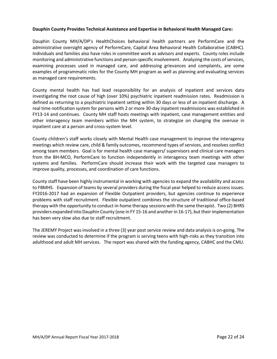#### **Dauphin County Provides Technical Assistance and Expertise in Behavioral Health Managed Care:**

Dauphin County MH/A/DP's HealthChoices behavioral health partners are PerformCare and the administrative oversight agency of PerformCare, Capital Area Behavioral Health Collaborative (CABHC). Individuals and families also have roles in committee work as advisors and experts. County roles include monitoring and administrative functions and person-specific involvement. Analyzing the costs of services, examining processes used in managed care, and addressing grievances and complaints, are some examples of programmatic roles for the County MH program as well as planning and evaluating services as managed care requirements.

County mental health has had lead responsibility for an analysis of inpatient and services data investigating the root cause of high (over 10%) psychiatric inpatient readmission rates. Readmission is defined as returning to a psychiatric inpatient setting within 30 days or less of an inpatient discharge. A real time notification system for persons with 2 or more 30-day inpatient readmissions was established in FY13-14 and continues. County MH staff hosts meetings with inpatient, case management entities and other interagency team members within the MH system, to strategize on changing the overuse in inpatient care at a person and cross-system level.

County children's staff works closely with Mental Health case management to improve the interagency meetings which review care, child & family outcomes, recommend types of services, and resolves conflict among team members. Goal is for mental health case managers/ supervisors and clinical care managers from the BH-MCO, PerformCare to function independently in interagency team meetings with other systems and families. PerformCare should increase their work with the targeted case managers to improve quality, processes, and coordination of care functions.

County staff have been highly instrumental in working with agencies to expand the availability and access to FBMHS. Expansion of teams by several providers during the fiscal year helped to reduce access issues. FY2016-2017 had an expansion of Flexible Outpatient providers, but agencies continue to experience problems with staff recruitment. Flexible outpatient combines the structure of traditional office-based therapy with the opportunity to conduct in-home therapy sessions with the same therapist. Two (2) BHRS providers expanded into Dauphin County (one in FY 15-16 and another in 16-17), but their implementation has been very slow also due to staff recruitment.

The JEREMY Project was involved in a three (3) year post service review and data analysis is on-going. The review was conducted to determine if the program is serving teens with high-risks as they transition into adulthood and adult MH services. The report was shared with the funding agency, CABHC and the CMU.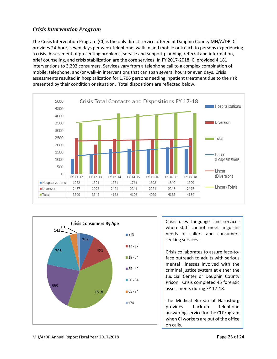## *Crisis Intervention Program*

The Crisis Intervention Program (CI) is the only direct service offered at Dauphin County MH/A/DP. CI provides 24-hour, seven days per week telephone, walk-in and mobile outreach to persons experiencing a crisis. Assessment of presenting problems, service and support planning, referral and information, brief counseling, and crisis stabilization are the core services. In FY 2017-2018, CI provided 4,181 interventions to 3,292 consumers. Services vary from a telephone call to a complex combination of mobile, telephone, and/or walk-in interventions that can span several hours or even days. Crisis assessments resulted in hospitalization for 1,706 persons needing inpatient treatment due to the risk presented by their condition or situation. Total dispositions are reflected below.





Crisis uses Language Line services when staff cannot meet linguistic needs of callers and consumers seeking services.

Crisis collaborates to assure face-toface outreach to adults with serious mental illnesses involved with the criminal justice system at either the Judicial Center or Dauphin County Prison. Crisis completed 45 forensic assessments during FY 17-18.

The Medical Bureau of Harrisburg provides back-up telephone answering service for the CI Program when CI workers are out of the office on calls.